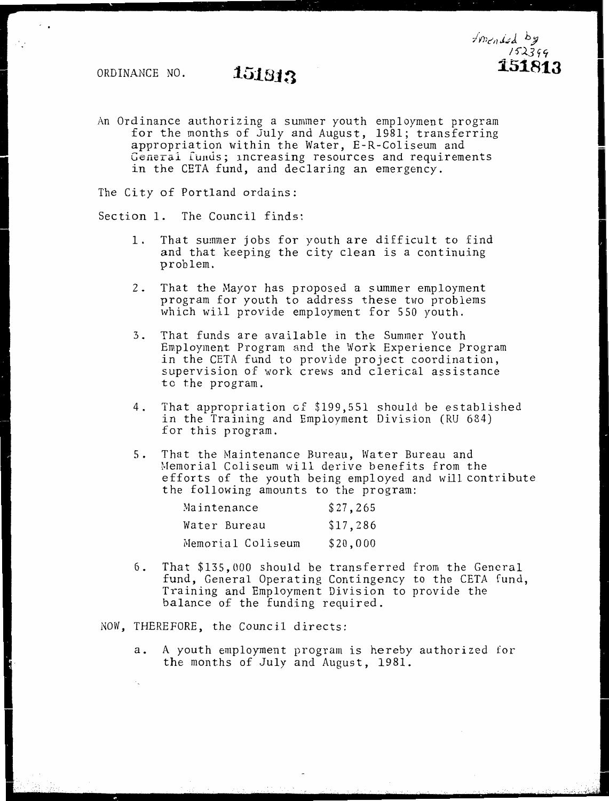An Ordinance authorizing a summer youth employment program for the months of July and August, 1981; transferring appropriation within the Water, E-R-Coliseum and General fumls; increasing resources and requirements in the CETA fund, and declaring an emergency.

The City of Portland ordains:

Section 1. The Council finds:

- 1. That summer jobs for youth are difficult to find and that keeping the city clean is a continuing problem.
- 2. That the Mayor has proposed a summer employment program for youth to address these two problems which will provide employment for 550 youth.
- 3. That funds are available in the Summer Youth Employment Program and the Work Experience Program in the CETA fund to provide project coordination, supervision of work crews and clerical assistance to the program.
- 4. That appropriation cf \$199,551 should be established in the Training and Employment Division (RU 684) for this program.
- 5. That the Maintenance Bureau, Water Bureau and Memorial Coliseum will derive benefits from the efforts of the youth being employed and will contribute the following amounts to the program:

| Maintenance       | \$27,265 |
|-------------------|----------|
| Water Bureau      | \$17,286 |
| Memorial Coliseum | \$20,000 |

6. That \$135,000 should be transferred from the General fund, General Operating Contingency to the CETA fund, Training and Employment Division to provide the balance of the funding required.

NOW, THEREFORE, the Council directs:

a. A youth employment program is hereby authorized for the months of July and August, 1981.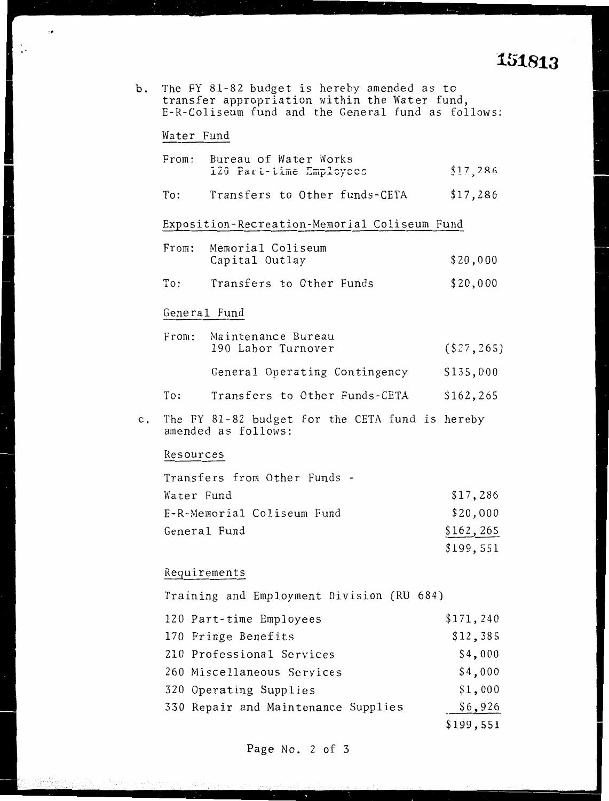# **151813**

|  |  | b. The FY 81-82 budget is hereby amended as to     |
|--|--|----------------------------------------------------|
|  |  | transfer appropriation within the Water fund,      |
|  |  | E-R-Coliseum fund and the General fund as follows: |

### Water Fund

 $\ddot{\phantom{a}}$ 

 $\cdot$ 

|                | From:          | Bureau of Water Works<br>120 Part-time Employees                       | \$17,286     |
|----------------|----------------|------------------------------------------------------------------------|--------------|
|                | To:            | Transfers to Other funds-CETA                                          | \$17,286     |
|                |                | Exposition-Recreation-Memorial Coliseum Fund                           |              |
|                | From:          | Memorial Coliseum<br>Capital Outlay                                    | \$20,000     |
|                | $\texttt{To:}$ | Transfers to Other Funds                                               | \$20,000     |
|                | General Fund   |                                                                        |              |
|                |                | From: Maintenance Bureau<br>190 Labor Turnover                         | ( \$27, 265) |
|                |                | General Operating Contingency                                          | \$135,000    |
|                | To:            | Transfers to Other Funds-CETA                                          | \$162,265    |
| $\mathsf{c}$ . |                | The FY 81-82 budget for the CETA fund is hereby<br>amended as follows: |              |
|                | Resources      |                                                                        |              |
|                |                | Transfers from Other Funds -                                           |              |
|                | Water Fund     |                                                                        | \$17,286     |
|                |                | E-R-Memorial Coliseum Fund                                             | \$20,000     |
|                | General Fund   |                                                                        | \$162,265    |
|                |                |                                                                        | \$199,551    |
|                | Requirements   |                                                                        |              |

Training and Employment Division (RU 684)

| 120 Part-time Employees             | \$171, 240 |
|-------------------------------------|------------|
| 170 Fringe Benefits                 | \$12,385   |
| 210 Professional Services           | \$4,000    |
| 260 Miscellaneous Services          | \$4,000    |
| 320 Operating Supplies              | \$1,000    |
| 330 Repair and Maintenance Supplies | \$6,926    |
|                                     | \$199,551  |

Page No. 2 of 3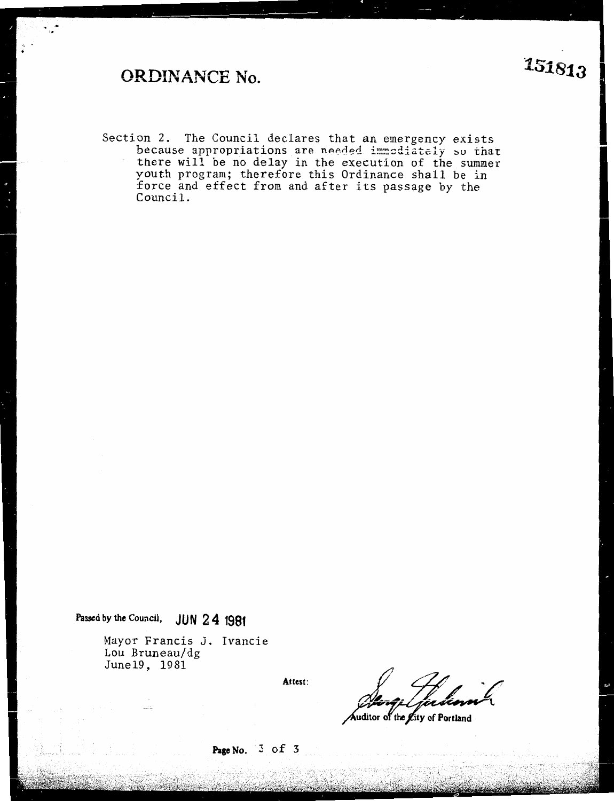Section 2. The Council declares that an emergency exists because appropriations are needed immediately so that there will be no delay in the execution of the summer youth program; therefore this Ordinance shall be in force and effect from and after its passage by the Council.

**Passed by the Council, JUN 2 4 1981** 

Mayor Francis J. Ivancie Lou Bruneau/dg Junel9, 1981

**Attest:** 

Auditor of the Lity of Portland

**Page No.** 3 of 3